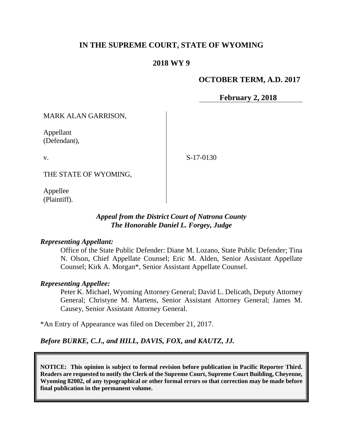## **IN THE SUPREME COURT, STATE OF WYOMING**

## **2018 WY 9**

## **OCTOBER TERM, A.D. 2017**

**February 2, 2018**

MARK ALAN GARRISON,

Appellant (Defendant),

v.

S-17-0130

THE STATE OF WYOMING,

Appellee (Plaintiff).

## *Appeal from the District Court of Natrona County The Honorable Daniel L. Forgey, Judge*

#### *Representing Appellant:*

Office of the State Public Defender: Diane M. Lozano, State Public Defender; Tina N. Olson, Chief Appellate Counsel; Eric M. Alden, Senior Assistant Appellate Counsel; Kirk A. Morgan\*, Senior Assistant Appellate Counsel.

#### *Representing Appellee:*

Peter K. Michael, Wyoming Attorney General; David L. Delicath, Deputy Attorney General; Christyne M. Martens, Senior Assistant Attorney General; James M. Causey, Senior Assistant Attorney General.

\*An Entry of Appearance was filed on December 21, 2017.

*Before BURKE, C.J., and HILL, DAVIS, FOX, and KAUTZ, JJ.*

**NOTICE: This opinion is subject to formal revision before publication in Pacific Reporter Third. Readers are requested to notify the Clerk of the Supreme Court, Supreme Court Building, Cheyenne, Wyoming 82002, of any typographical or other formal errors so that correction may be made before final publication in the permanent volume.**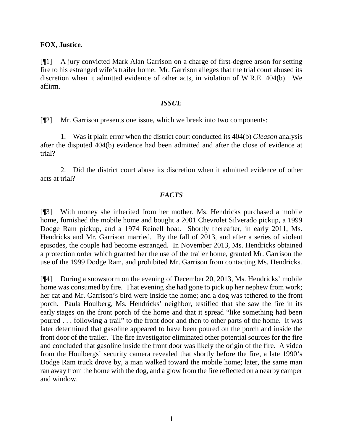## **FOX**, **Justice**.

[¶1] A jury convicted Mark Alan Garrison on a charge of first-degree arson for setting fire to his estranged wife's trailer home. Mr. Garrison alleges that the trial court abused its discretion when it admitted evidence of other acts, in violation of W.R.E. 404(b). We affirm.

#### *ISSUE*

[¶2] Mr. Garrison presents one issue, which we break into two components:

1. Was it plain error when the district court conducted its 404(b) *Gleason* analysis after the disputed 404(b) evidence had been admitted and after the close of evidence at trial?

2. Did the district court abuse its discretion when it admitted evidence of other acts at trial?

## *FACTS*

[¶3] With money she inherited from her mother, Ms. Hendricks purchased a mobile home, furnished the mobile home and bought a 2001 Chevrolet Silverado pickup, a 1999 Dodge Ram pickup, and a 1974 Reinell boat. Shortly thereafter, in early 2011, Ms. Hendricks and Mr. Garrison married. By the fall of 2013, and after a series of violent episodes, the couple had become estranged. In November 2013, Ms. Hendricks obtained a protection order which granted her the use of the trailer home, granted Mr. Garrison the use of the 1999 Dodge Ram, and prohibited Mr. Garrison from contacting Ms. Hendricks.

[¶4] During a snowstorm on the evening of December 20, 2013, Ms. Hendricks' mobile home was consumed by fire. That evening she had gone to pick up her nephew from work; her cat and Mr. Garrison's bird were inside the home; and a dog was tethered to the front porch. Paula Houlberg, Ms. Hendricks' neighbor, testified that she saw the fire in its early stages on the front porch of the home and that it spread "like something had been poured . . . following a trail" to the front door and then to other parts of the home. It was later determined that gasoline appeared to have been poured on the porch and inside the front door of the trailer. The fire investigator eliminated other potential sources for the fire and concluded that gasoline inside the front door was likely the origin of the fire. A video from the Houlbergs' security camera revealed that shortly before the fire, a late 1990's Dodge Ram truck drove by, a man walked toward the mobile home; later, the same man ran away from the home with the dog, and a glow from the fire reflected on a nearby camper and window.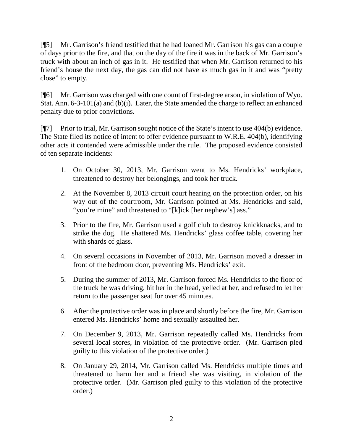[¶5] Mr. Garrison's friend testified that he had loaned Mr. Garrison his gas can a couple of days prior to the fire, and that on the day of the fire it was in the back of Mr. Garrison's truck with about an inch of gas in it. He testified that when Mr. Garrison returned to his friend's house the next day, the gas can did not have as much gas in it and was "pretty close" to empty.

[¶6] Mr. Garrison was charged with one count of first-degree arson, in violation of Wyo. Stat. Ann. 6-3-101(a) and (b)(i). Later, the State amended the charge to reflect an enhanced penalty due to prior convictions.

[¶7] Prior to trial, Mr. Garrison sought notice of the State's intent to use 404(b) evidence. The State filed its notice of intent to offer evidence pursuant to W.R.E. 404(b), identifying other acts it contended were admissible under the rule. The proposed evidence consisted of ten separate incidents:

- 1. On October 30, 2013, Mr. Garrison went to Ms. Hendricks' workplace, threatened to destroy her belongings, and took her truck.
- 2. At the November 8, 2013 circuit court hearing on the protection order, on his way out of the courtroom, Mr. Garrison pointed at Ms. Hendricks and said, "you're mine" and threatened to "[k]ick [her nephew's] ass."
- 3. Prior to the fire, Mr. Garrison used a golf club to destroy knickknacks, and to strike the dog. He shattered Ms. Hendricks' glass coffee table, covering her with shards of glass.
- 4. On several occasions in November of 2013, Mr. Garrison moved a dresser in front of the bedroom door, preventing Ms. Hendricks' exit.
- 5. During the summer of 2013, Mr. Garrison forced Ms. Hendricks to the floor of the truck he was driving, hit her in the head, yelled at her, and refused to let her return to the passenger seat for over 45 minutes.
- 6. After the protective order was in place and shortly before the fire, Mr. Garrison entered Ms. Hendricks' home and sexually assaulted her.
- 7. On December 9, 2013, Mr. Garrison repeatedly called Ms. Hendricks from several local stores, in violation of the protective order. (Mr. Garrison pled guilty to this violation of the protective order.)
- 8. On January 29, 2014, Mr. Garrison called Ms. Hendricks multiple times and threatened to harm her and a friend she was visiting, in violation of the protective order. (Mr. Garrison pled guilty to this violation of the protective order.)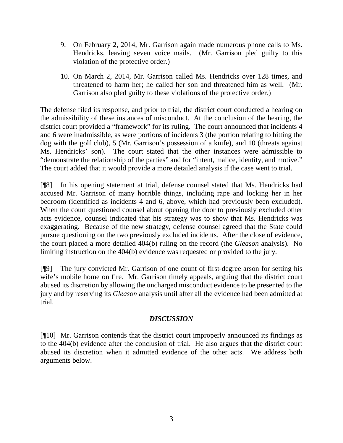- 9. On February 2, 2014, Mr. Garrison again made numerous phone calls to Ms. Hendricks, leaving seven voice mails. (Mr. Garrison pled guilty to this violation of the protective order.)
- 10. On March 2, 2014, Mr. Garrison called Ms. Hendricks over 128 times, and threatened to harm her; he called her son and threatened him as well. (Mr. Garrison also pled guilty to these violations of the protective order.)

The defense filed its response, and prior to trial, the district court conducted a hearing on the admissibility of these instances of misconduct. At the conclusion of the hearing, the district court provided a "framework" for its ruling. The court announced that incidents 4 and 6 were inadmissible, as were portions of incidents 3 (the portion relating to hitting the dog with the golf club), 5 (Mr. Garrison's possession of a knife), and 10 (threats against Ms. Hendricks' son). The court stated that the other instances were admissible to "demonstrate the relationship of the parties" and for "intent, malice, identity, and motive." The court added that it would provide a more detailed analysis if the case went to trial.

[¶8] In his opening statement at trial, defense counsel stated that Ms. Hendricks had accused Mr. Garrison of many horrible things, including rape and locking her in her bedroom (identified as incidents 4 and 6, above, which had previously been excluded). When the court questioned counsel about opening the door to previously excluded other acts evidence, counsel indicated that his strategy was to show that Ms. Hendricks was exaggerating. Because of the new strategy, defense counsel agreed that the State could pursue questioning on the two previously excluded incidents. After the close of evidence, the court placed a more detailed 404(b) ruling on the record (the *Gleason* analysis). No limiting instruction on the 404(b) evidence was requested or provided to the jury.

[¶9] The jury convicted Mr. Garrison of one count of first-degree arson for setting his wife's mobile home on fire. Mr. Garrison timely appeals, arguing that the district court abused its discretion by allowing the uncharged misconduct evidence to be presented to the jury and by reserving its *Gleason* analysis until after all the evidence had been admitted at trial.

## *DISCUSSION*

[¶10] Mr. Garrison contends that the district court improperly announced its findings as to the 404(b) evidence after the conclusion of trial. He also argues that the district court abused its discretion when it admitted evidence of the other acts. We address both arguments below.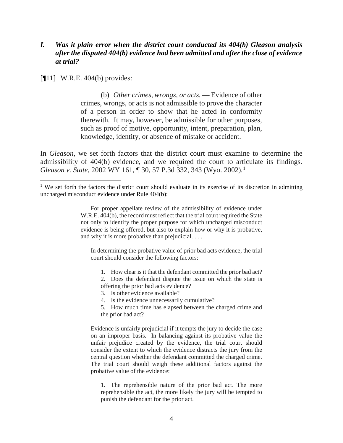## *I. Was it plain error when the district court conducted its 404(b) Gleason analysis after the disputed 404(b) evidence had been admitted and after the close of evidence at trial?*

[¶11] W.R.E. 404(b) provides:

l

(b) *Other crimes, wrongs, or acts.* — Evidence of other crimes, wrongs, or acts is not admissible to prove the character of a person in order to show that he acted in conformity therewith. It may, however, be admissible for other purposes, such as proof of motive, opportunity, intent, preparation, plan, knowledge, identity, or absence of mistake or accident.

In *Gleason*, we set forth factors that the district court must examine to determine the admissibility of 404(b) evidence, and we required the court to articulate its findings. *Gleason v. State*, 2002 WY [1](#page-4-0)61, ¶ 30, 57 P.3d 332, 343 (Wyo. 2002).<sup>1</sup>

In determining the probative value of prior bad acts evidence, the trial court should consider the following factors:

1. How clear is it that the defendant committed the prior bad act?

- 3. Is other evidence available?
- 4. Is the evidence unnecessarily cumulative?
- 5. How much time has elapsed between the charged crime and the prior bad act?

Evidence is unfairly prejudicial if it tempts the jury to decide the case on an improper basis. In balancing against its probative value the unfair prejudice created by the evidence, the trial court should consider the extent to which the evidence distracts the jury from the central question whether the defendant committed the charged crime. The trial court should weigh these additional factors against the probative value of the evidence:

1. The reprehensible nature of the prior bad act. The more reprehensible the act, the more likely the jury will be tempted to punish the defendant for the prior act.

<span id="page-4-0"></span><sup>&</sup>lt;sup>1</sup> We set forth the factors the district court should evaluate in its exercise of its discretion in admitting uncharged misconduct evidence under Rule 404(b):

For proper appellate review of the admissibility of evidence under W.R.E. 404(b), the record must reflect that the trial court required the State not only to identify the proper purpose for which uncharged misconduct evidence is being offered, but also to explain how or why it is probative, and why it is more probative than prejudicial. . . .

<sup>2.</sup> Does the defendant dispute the issue on which the state is offering the prior bad acts evidence?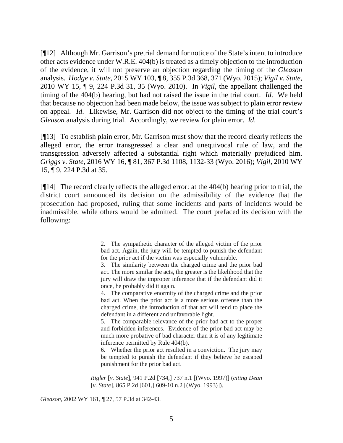[¶12] Although Mr. Garrison's pretrial demand for notice of the State's intent to introduce other acts evidence under W.R.E. 404(b) is treated as a timely objection to the introduction of the evidence, it will not preserve an objection regarding the timing of the *Gleason* analysis. *Hodge v. State*, 2015 WY 103, ¶ 8, 355 P.3d 368, 371 (Wyo. 2015); *Vigil v. State*, 2010 WY 15, ¶ 9, 224 P.3d 31, 35 (Wyo. 2010). In *Vigil*, the appellant challenged the timing of the 404(b) hearing, but had not raised the issue in the trial court. *Id*. We held that because no objection had been made below, the issue was subject to plain error review on appeal. *Id*. Likewise, Mr. Garrison did not object to the timing of the trial court's *Gleason* analysis during trial. Accordingly, we review for plain error. *Id*.

[¶13] To establish plain error, Mr. Garrison must show that the record clearly reflects the alleged error, the error transgressed a clear and unequivocal rule of law, and the transgression adversely affected a substantial right which materially prejudiced him. *Griggs v. State*, 2016 WY 16, ¶ 81, 367 P.3d 1108, 1132-33 (Wyo. 2016); *Vigil*, 2010 WY 15, ¶ 9, 224 P.3d at 35.

[¶14] The record clearly reflects the alleged error: at the 404(b) hearing prior to trial, the district court announced its decision on the admissibility of the evidence that the prosecution had proposed, ruling that some incidents and parts of incidents would be inadmissible, while others would be admitted. The court prefaced its decision with the following:

*Gleason*, 2002 WY 161, ¶ 27, 57 P.3d at 342-43.

l

<sup>2.</sup> The sympathetic character of the alleged victim of the prior bad act. Again, the jury will be tempted to punish the defendant for the prior act if the victim was especially vulnerable.

<sup>3.</sup> The similarity between the charged crime and the prior bad act. The more similar the acts, the greater is the likelihood that the jury will draw the improper inference that if the defendant did it once, he probably did it again.

<sup>4.</sup> The comparative enormity of the charged crime and the prior bad act. When the prior act is a more serious offense than the charged crime, the introduction of that act will tend to place the defendant in a different and unfavorable light.

<sup>5.</sup> The comparable relevance of the prior bad act to the proper and forbidden inferences. Evidence of the prior bad act may be much more probative of bad character than it is of any legitimate inference permitted by Rule 404(b).

<sup>6.</sup> Whether the prior act resulted in a conviction. The jury may be tempted to punish the defendant if they believe he escaped punishment for the prior bad act.

*Rigler* [*v. State*], 941 P.2d [734,] 737 n.1 [(Wyo. 1997)] (*citing Dean* [*v. State*], 865 P.2d [601,] 609-10 n.2 [(Wyo. 1993)]).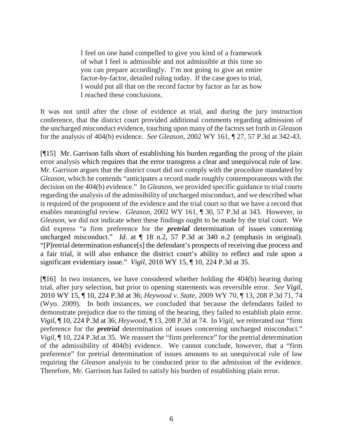I feel on one hand compelled to give you kind of a framework of what I feel is admissible and not admissible at this time so you can prepare accordingly. I'm not going to give an entire factor-by-factor, detailed ruling today. If the case goes to trial, I would put all that on the record factor by factor as far as how I reached these conclusions.

It was not until after the close of evidence at trial, and during the jury instruction conference, that the district court provided additional comments regarding admission of the uncharged misconduct evidence, touching upon many of the factors set forth in *Gleason* for the analysis of 404(b) evidence. *See Gleason*, 2002 WY 161, ¶ 27, 57 P.3d at 342-43.

[¶15] Mr. Garrison falls short of establishing his burden regarding the prong of the plain error analysis which requires that the error transgress a clear and unequivocal rule of law. Mr. Garrison argues that the district court did not comply with the procedure mandated by *Gleason*, which he contends "anticipates a record made roughly contemporaneous with the decision on the 404(b) evidence." In *Gleason*, we provided specific guidance to trial courts regarding the analysis of the admissibility of uncharged misconduct, and we described what is required of the proponent of the evidence and the trial court so that we have a record that enables meaningful review. *Gleason*, 2002 WY 161, ¶ 30, 57 P.3d at 343. However, in *Gleason*, we did not indicate when these findings ought to be made by the trial court. We did express "a firm preference for the *pretrial* determination of issues concerning uncharged misconduct." *Id.* at  $\P$  18 n.2, 57 P.3d at 340 n.2 (emphasis in original). "[P]retrial determination enhance[s] the defendant's prospects of receiving due process and a fair trial, it will also enhance the district court's ability to reflect and rule upon a significant evidentiary issue." *Vigil*, 2010 WY 15, ¶ 10, 224 P.3d at 35.

[¶16] In two instances, we have considered whether holding the 404(b) hearing during trial, after jury selection, but prior to opening statements was reversible error. *See Vigil*, 2010 WY 15, ¶ 10, 224 P.3d at 36; *Heywood v. State*, 2009 WY 70, ¶ 13, 208 P.3d 71, 74 (Wyo. 2009). In both instances, we concluded that because the defendants failed to demonstrate prejudice due to the timing of the hearing, they failed to establish plain error. *Vigil*, ¶ 10, 224 P.3d at 36; *Heywood*, ¶ 13, 208 P.3d at 74. In *Vigil*, we reiterated our "firm preference for the *pretrial* determination of issues concerning uncharged misconduct." *Vigil*,  $\parallel$  10, 224 P.3d at 35. We reassert the "firm preference" for the pretrial determination of the admissibility of 404(b) evidence. We cannot conclude, however, that a "firm preference" for pretrial determination of issues amounts to an unequivocal rule of law requiring the *Gleason* analysis to be conducted prior to the admission of the evidence. Therefore, Mr. Garrison has failed to satisfy his burden of establishing plain error.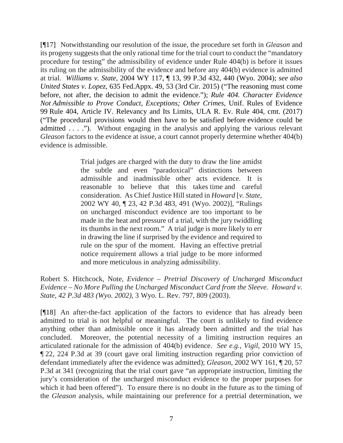[¶17] Notwithstanding our resolution of the issue, the procedure set forth in *Gleason* and its progeny suggests that the only rational time for the trial court to conduct the "mandatory procedure for testing" the admissibility of evidence under Rule 404(b) is before it issues its ruling on the admissibility of the evidence and before any 404(b) evidence is admitted at trial. *Williams v. State*, 2004 WY 117, ¶ 13, 99 P.3d 432, 440 (Wyo. 2004); *see also United States v. Lopez*, 635 Fed.Appx. 49, 53 (3rd Cir. 2015) ("The reasoning must come before, not after, the decision to admit the evidence."); *Rule 404. Character Evidence Not Admissible to Prove Conduct, Exceptions; Other Crimes*, Unif. Rules of Evidence 99 Rule 404, Article IV. Relevancy and Its Limits, ULA R. Ev. Rule 404, cmt. (2017) ("The procedural provisions would then have to be satisfied before evidence could be admitted . . . ."). Without engaging in the analysis and applying the various relevant *Gleason* factors to the evidence at issue, a court cannot properly determine whether 404(b) evidence is admissible.

> Trial judges are charged with the duty to draw the line amidst the subtle and even "paradoxical" distinctions between admissible and inadmissible other acts evidence. It is reasonable to believe that this takes time and careful consideration. As Chief Justice Hill stated in *Howard* [*v. State*, 2002 WY 40, ¶ 23, 42 P.3d 483, 491 (Wyo. 2002)], "Rulings on uncharged misconduct evidence are too important to be made in the heat and pressure of a trial, with the jury twiddling its thumbs in the next room." A trial judge is more likely to err in drawing the line if surprised by the evidence and required to rule on the spur of the moment. Having an effective pretrial notice requirement allows a trial judge to be more informed and more meticulous in analyzing admissibility.

Robert S. Hitchcock, Note, *Evidence – Pretrial Discovery of Uncharged Misconduct Evidence – No More Pulling the Uncharged Misconduct Card from the Sleeve. Howard v. State*, *42 P.3d 483 (Wyo. 2002)*, 3 Wyo. L. Rev. 797, 809 (2003).

[¶18] An after-the-fact application of the factors to evidence that has already been admitted to trial is not helpful or meaningful. The court is unlikely to find evidence anything other than admissible once it has already been admitted and the trial has concluded. Moreover, the potential necessity of a limiting instruction requires an articulated rationale for the admission of 404(b) evidence. *See e.g.*, *Vigil*, 2010 WY 15, ¶ 22, 224 P.3d at 39 (court gave oral limiting instruction regarding prior conviction of defendant immediately after the evidence was admitted); *Gleason*, 2002 WY 161, ¶ 20, 57 P.3d at 341 (recognizing that the trial court gave "an appropriate instruction, limiting the jury's consideration of the uncharged misconduct evidence to the proper purposes for which it had been offered"). To ensure there is no doubt in the future as to the timing of the *Gleason* analysis, while maintaining our preference for a pretrial determination, we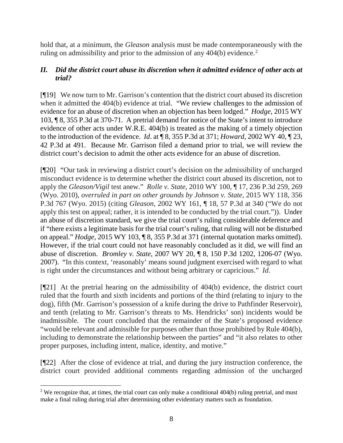hold that, at a minimum, the *Gleason* analysis must be made contemporaneously with the ruling on admissibility and prior to the admission of any 404(b) evidence.<sup>[2](#page-8-0)</sup>

## *II. Did the district court abuse its discretion when it admitted evidence of other acts at trial?*

[¶19] We now turn to Mr. Garrison's contention that the district court abused its discretion when it admitted the 404(b) evidence at trial. "We review challenges to the admission of evidence for an abuse of discretion when an objection has been lodged." *Hodge*, 2015 WY 103, ¶ 8, 355 P.3d at 370-71. A pretrial demand for notice of the State's intent to introduce evidence of other acts under W.R.E. 404(b) is treated as the making of a timely objection to the introduction of the evidence. *Id*. at ¶ 8, 355 P.3d at 371; *Howard*, 2002 WY 40, ¶ 23, 42 P.3d at 491. Because Mr. Garrison filed a demand prior to trial, we will review the district court's decision to admit the other acts evidence for an abuse of discretion.

[¶20] "Our task in reviewing a district court's decision on the admissibility of uncharged misconduct evidence is to determine whether the district court abused its discretion, not to apply the *Gleason/Vigil* test anew." *Rolle v. State*, 2010 WY 100, ¶ 17, 236 P.3d 259, 269 (Wyo. 2010), *overruled in part on other grounds by Johnson v. State*, 2015 WY 118, 356 P.3d 767 (Wyo. 2015) (citing *Gleason*, 2002 WY 161, ¶ 18, 57 P.3d at 340 ("We do not apply this test on appeal; rather, it is intended to be conducted by the trial court.")). Under an abuse of discretion standard, we give the trial court's ruling considerable deference and if "there exists a legitimate basis for the trial court's ruling, that ruling will not be disturbed on appeal." *Hodge*, 2015 WY 103, ¶ 8, 355 P.3d at 371 (internal quotation marks omitted). However, if the trial court could not have reasonably concluded as it did, we will find an abuse of discretion. *Bromley v. State*, 2007 WY 20, ¶ 8, 150 P.3d 1202, 1206-07 (Wyo. 2007). "In this context, 'reasonably' means sound judgment exercised with regard to what is right under the circumstances and without being arbitrary or capricious." *Id*.

[¶21] At the pretrial hearing on the admissibility of 404(b) evidence, the district court ruled that the fourth and sixth incidents and portions of the third (relating to injury to the dog), fifth (Mr. Garrison's possession of a knife during the drive to Pathfinder Reservoir), and tenth (relating to Mr. Garrison's threats to Ms. Hendricks' son) incidents would be inadmissible. The court concluded that the remainder of the State's proposed evidence "would be relevant and admissible for purposes other than those prohibited by Rule 404(b), including to demonstrate the relationship between the parties" and "it also relates to other proper purposes, including intent, malice, identity, and motive."

[¶22] After the close of evidence at trial, and during the jury instruction conference, the district court provided additional comments regarding admission of the uncharged

 $\overline{\phantom{a}}$ 

<span id="page-8-0"></span><sup>&</sup>lt;sup>2</sup> We recognize that, at times, the trial court can only make a conditional  $404(b)$  ruling pretrial, and must make a final ruling during trial after determining other evidentiary matters such as foundation.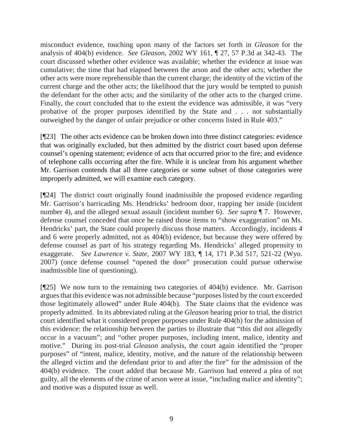misconduct evidence, touching upon many of the factors set forth in *Gleason* for the analysis of 404(b) evidence. *See Gleason*, 2002 WY 161, ¶ 27, 57 P.3d at 342-43. The court discussed whether other evidence was available; whether the evidence at issue was cumulative; the time that had elapsed between the arson and the other acts; whether the other acts were more reprehensible than the current charge; the identity of the victim of the current charge and the other acts; the likelihood that the jury would be tempted to punish the defendant for the other acts; and the similarity of the other acts to the charged crime. Finally, the court concluded that to the extent the evidence was admissible, it was "very probative of the proper purposes identified by the State and . . . not substantially outweighed by the danger of unfair prejudice or other concerns listed in Rule 403."

[¶23] The other acts evidence can be broken down into three distinct categories: evidence that was originally excluded, but then admitted by the district court based upon defense counsel's opening statement; evidence of acts that occurred prior to the fire; and evidence of telephone calls occurring after the fire. While it is unclear from his argument whether Mr. Garrison contends that all three categories or some subset of those categories were improperly admitted, we will examine each category.

[¶24] The district court originally found inadmissible the proposed evidence regarding Mr. Garrison's barricading Ms. Hendricks' bedroom door, trapping her inside (incident number 4), and the alleged sexual assault (incident number 6). *See supra* ¶ 7. However, defense counsel conceded that once he raised those items to "show exaggeration" on Ms. Hendricks' part, the State could properly discuss those matters. Accordingly, incidents 4 and 6 were properly admitted, not as 404(b) evidence, but because they were offered by defense counsel as part of his strategy regarding Ms. Hendricks' alleged propensity to exaggerate. *See Lawrence v. State*, 2007 WY 183, ¶ 14, 171 P.3d 517, 521-22 (Wyo. 2007) (once defense counsel "opened the door" prosecution could pursue otherwise inadmissible line of questioning).

[¶25] We now turn to the remaining two categories of 404(b) evidence. Mr. Garrison argues that this evidence was not admissible because "purposes listed by the court exceeded those legitimately allowed" under Rule 404(b). The State claims that the evidence was properly admitted. In its abbreviated ruling at the *Gleason* hearing prior to trial, the district court identified what it considered proper purposes under Rule 404(b) for the admission of this evidence: the relationship between the parties to illustrate that "this did not allegedly occur in a vacuum"; and "other proper purposes, including intent, malice, identity and motive." During its post-trial *Gleason* analysis, the court again identified the "proper purposes" of "intent, malice, identity, motive, and the nature of the relationship between the alleged victim and the defendant prior to and after the fire" for the admission of the 404(b) evidence. The court added that because Mr. Garrison had entered a plea of not guilty, all the elements of the crime of arson were at issue, "including malice and identity"; and motive was a disputed issue as well.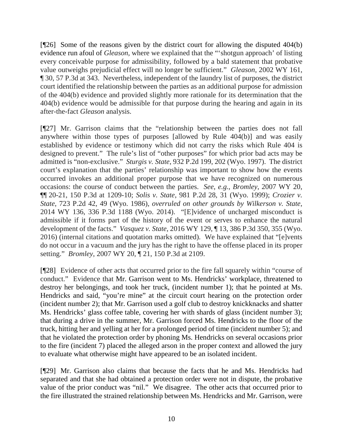[¶26] Some of the reasons given by the district court for allowing the disputed 404(b) evidence run afoul of *Gleason*, where we explained that the "'shotgun approach' of listing every conceivable purpose for admissibility, followed by a bald statement that probative value outweighs prejudicial effect will no longer be sufficient." *Gleason*, 2002 WY 161, ¶ 30, 57 P.3d at 343. Nevertheless, independent of the laundry list of purposes, the district court identified the relationship between the parties as an additional purpose for admission of the 404(b) evidence and provided slightly more rationale for its determination that the 404(b) evidence would be admissible for that purpose during the hearing and again in its after-the-fact *Gleason* analysis.

[¶27] Mr. Garrison claims that the "relationship between the parties does not fall anywhere within those types of purposes [allowed by Rule 404(b)] and was easily established by evidence or testimony which did not carry the risks which Rule 404 is designed to prevent." The rule's list of "other purposes" for which prior bad acts may be admitted is "non-exclusive." *Sturgis v. State*, 932 P.2d 199, 202 (Wyo. 1997). The district court's explanation that the parties' relationship was important to show how the events occurred invokes an additional proper purpose that we have recognized on numerous occasions: the course of conduct between the parties. *See*, *e.g.*, *Bromley*, 2007 WY 20, ¶¶ 20-21, 150 P.3d at 1209-10; *Solis v. State*, 981 P.2d 28, 31 (Wyo. 1999); *Crozier v. State*, 723 P.2d 42, 49 (Wyo. 1986), *overruled on other grounds by Wilkerson v. State*, 2014 WY 136, 336 P.3d 1188 (Wyo. 2014). "[E]vidence of uncharged misconduct is admissible if it forms part of the history of the event or serves to enhance the natural development of the facts." *Vasquez v. State*, 2016 WY 129, ¶ 13, 386 P.3d 350, 355 (Wyo. 2016) (internal citations and quotation marks omitted). We have explained that "[e]vents do not occur in a vacuum and the jury has the right to have the offense placed in its proper setting." *Bromley*, 2007 WY 20, ¶ 21, 150 P.3d at 2109.

[¶28] Evidence of other acts that occurred prior to the fire fall squarely within "course of conduct." Evidence that Mr. Garrison went to Ms. Hendricks' workplace, threatened to destroy her belongings, and took her truck, (incident number 1); that he pointed at Ms. Hendricks and said, "you're mine" at the circuit court hearing on the protection order (incident number 2); that Mr. Garrison used a golf club to destroy knickknacks and shatter Ms. Hendricks' glass coffee table, covering her with shards of glass (incident number 3); that during a drive in the summer, Mr. Garrison forced Ms. Hendricks to the floor of the truck, hitting her and yelling at her for a prolonged period of time (incident number 5); and that he violated the protection order by phoning Ms. Hendricks on several occasions prior to the fire (incident 7) placed the alleged arson in the proper context and allowed the jury to evaluate what otherwise might have appeared to be an isolated incident.

[¶29] Mr. Garrison also claims that because the facts that he and Ms. Hendricks had separated and that she had obtained a protection order were not in dispute, the probative value of the prior conduct was "nil." We disagree. The other acts that occurred prior to the fire illustrated the strained relationship between Ms. Hendricks and Mr. Garrison, were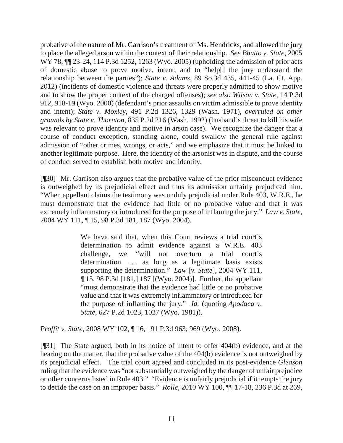probative of the nature of Mr. Garrison's treatment of Ms. Hendricks, and allowed the jury to place the alleged arson within the context of their relationship. *See Bhutto v. State*, 2005 WY 78, ¶¶ 23-24, 114 P.3d 1252, 1263 (Wyo. 2005) (upholding the admission of prior acts of domestic abuse to prove motive, intent, and to "help[] the jury understand the relationship between the parties"); *State v. Adams*, 89 So.3d 435, 441-45 (La. Ct. App. 2012) (incidents of domestic violence and threats were properly admitted to show motive and to show the proper context of the charged offenses); *see also Wilson v. State*, 14 P.3d 912, 918-19 (Wyo. 2000) (defendant's prior assaults on victim admissible to prove identity and intent); *State v. Moxley*, 491 P.2d 1326, 1329 (Wash. 1971), *overruled on other grounds by State v. Thornton*, 835 P.2d 216 (Wash. 1992) (husband's threat to kill his wife was relevant to prove identity and motive in arson case). We recognize the danger that a course of conduct exception, standing alone, could swallow the general rule against admission of "other crimes, wrongs, or acts," and we emphasize that it must be linked to another legitimate purpose. Here, the identity of the arsonist was in dispute, and the course of conduct served to establish both motive and identity.

[¶30] Mr. Garrison also argues that the probative value of the prior misconduct evidence is outweighed by its prejudicial effect and thus its admission unfairly prejudiced him. "When appellant claims the testimony was unduly prejudicial under Rule 403, W.R.E., he must demonstrate that the evidence had little or no probative value and that it was extremely inflammatory or introduced for the purpose of inflaming the jury." *Law v. State*, 2004 WY 111, ¶ 15, 98 P.3d 181, 187 (Wyo. 2004).

> We have said that, when this Court reviews a trial court's determination to admit evidence against a W.R.E. 403 challenge, we "will not overturn a trial court's determination ... as long as a legitimate basis exists supporting the determination." *Law* [*v. State*], 2004 WY 111, ¶ 15, 98 P.3d [181,] 187 [(Wyo. 2004)]. Further, the appellant "must demonstrate that the evidence had little or no probative value and that it was extremely inflammatory or introduced for the purpose of inflaming the jury." *Id.* (quoting *Apodaca v. State*, 627 P.2d 1023, 1027 (Wyo. 1981)).

*Proffit v. State*, 2008 WY 102, ¶ 16, 191 P.3d 963, 969 (Wyo. 2008).

[¶31] The State argued, both in its notice of intent to offer 404(b) evidence, and at the hearing on the matter, that the probative value of the 404(b) evidence is not outweighed by its prejudicial effect. The trial court agreed and concluded in its post-evidence *Gleason* ruling that the evidence was "not substantially outweighed by the danger of unfair prejudice or other concerns listed in Rule 403." "Evidence is unfairly prejudicial if it tempts the jury to decide the case on an improper basis." *Rolle*, 2010 WY 100, ¶¶ 17-18, 236 P.3d at 269,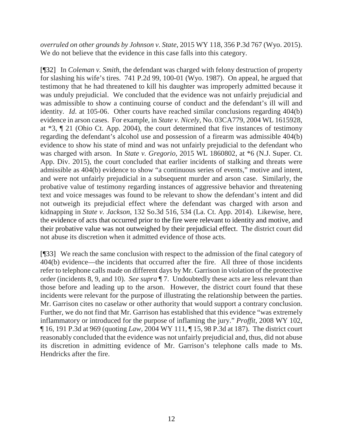*overruled on other grounds by Johnson v. State*, 2015 WY 118, 356 P.3d 767 (Wyo. 2015). We do not believe that the evidence in this case falls into this category.

[¶32] In *Coleman v. Smith*, the defendant was charged with felony destruction of property for slashing his wife's tires. 741 P.2d 99, 100-01 (Wyo. 1987). On appeal, he argued that testimony that he had threatened to kill his daughter was improperly admitted because it was unduly prejudicial. We concluded that the evidence was not unfairly prejudicial and was admissible to show a continuing course of conduct and the defendant's ill will and identity. *Id*. at 105-06. Other courts have reached similar conclusions regarding 404(b) evidence in arson cases. For example, in *State v. Nicely*, No. 03CA779, 2004 WL 1615928, at \*3, ¶ 21 (Ohio Ct. App. 2004), the court determined that five instances of testimony regarding the defendant's alcohol use and possession of a firearm was admissible 404(b) evidence to show his state of mind and was not unfairly prejudicial to the defendant who was charged with arson. In *State v. Gregorio*, 2015 WL 1860802, at \*6 (N.J. Super. Ct. App. Div. 2015), the court concluded that earlier incidents of stalking and threats were admissible as 404(b) evidence to show "a continuous series of events," motive and intent, and were not unfairly prejudicial in a subsequent murder and arson case. Similarly, the probative value of testimony regarding instances of aggressive behavior and threatening text and voice messages was found to be relevant to show the defendant's intent and did not outweigh its prejudicial effect where the defendant was charged with arson and kidnapping in *State v. Jackson*, 132 So.3d 516, 534 (La. Ct. App. 2014). Likewise, here, the evidence of acts that occurred prior to the fire were relevant to identity and motive, and their probative value was not outweighed by their prejudicial effect. The district court did not abuse its discretion when it admitted evidence of those acts.

[¶33] We reach the same conclusion with respect to the admission of the final category of 404(b) evidence—the incidents that occurred after the fire. All three of those incidents refer to telephone calls made on different days by Mr. Garrison in violation of the protective order (incidents 8, 9, and 10). *See supra* ¶ 7. Undoubtedly these acts are less relevant than those before and leading up to the arson. However, the district court found that these incidents were relevant for the purpose of illustrating the relationship between the parties. Mr. Garrison cites no caselaw or other authority that would support a contrary conclusion. Further, we do not find that Mr. Garrison has established that this evidence "was extremely inflammatory or introduced for the purpose of inflaming the jury." *Proffit*, 2008 WY 102, ¶ 16, 191 P.3d at 969 (quoting *Law*, 2004 WY 111, ¶ 15, 98 P.3d at 187). The district court reasonably concluded that the evidence was not unfairly prejudicial and, thus, did not abuse its discretion in admitting evidence of Mr. Garrison's telephone calls made to Ms. Hendricks after the fire.